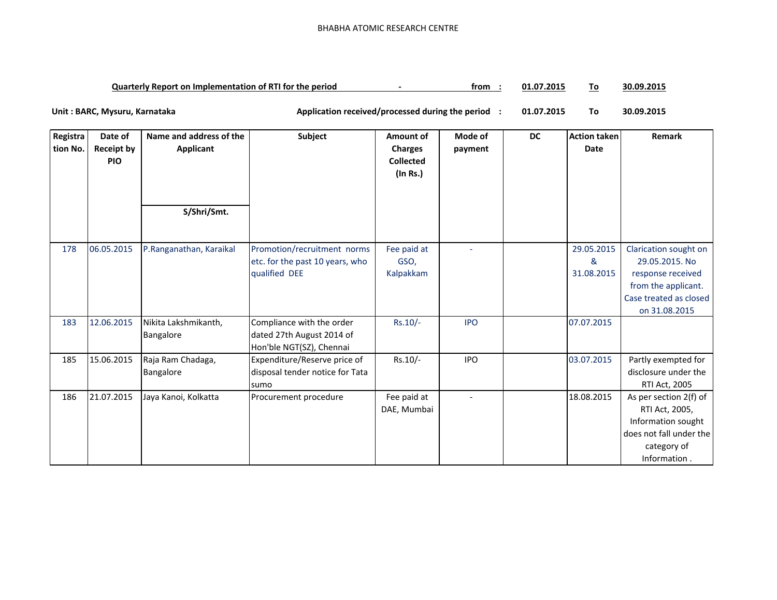**01.07.2015 To 30.09.2015 Quarterly Report on Implementation of RTI for the period -** From :

**01.07.2015 To 30.09.2015** Unit : BARC, Mysuru, Karnataka **Application received/processed during the period** :

| Registra | Date of           | Name and address of the | Subject                         | Amount of        | Mode of    | <b>DC</b> | <b>Action taken</b> | Remark                  |
|----------|-------------------|-------------------------|---------------------------------|------------------|------------|-----------|---------------------|-------------------------|
| tion No. | <b>Receipt by</b> | Applicant               |                                 | <b>Charges</b>   | payment    |           | Date                |                         |
|          | <b>PIO</b>        |                         |                                 | <b>Collected</b> |            |           |                     |                         |
|          |                   |                         |                                 | (In Rs.)         |            |           |                     |                         |
|          |                   |                         |                                 |                  |            |           |                     |                         |
|          |                   |                         |                                 |                  |            |           |                     |                         |
|          |                   | S/Shri/Smt.             |                                 |                  |            |           |                     |                         |
|          |                   |                         |                                 |                  |            |           |                     |                         |
|          |                   |                         |                                 |                  |            |           |                     |                         |
| 178      | 06.05.2015        | P.Ranganathan, Karaikal | Promotion/recruitment norms     | Fee paid at      |            |           | 29.05.2015          | Clarication sought on   |
|          |                   |                         | etc. for the past 10 years, who | GSO.             |            |           | &                   | 29.05.2015. No          |
|          |                   |                         | qualified DEE                   | Kalpakkam        |            |           | 31.08.2015          | response received       |
|          |                   |                         |                                 |                  |            |           |                     | from the applicant.     |
|          |                   |                         |                                 |                  |            |           |                     | Case treated as closed  |
|          |                   |                         |                                 |                  |            |           |                     | on 31.08.2015           |
| 183      | 12.06.2015        | Nikita Lakshmikanth,    | Compliance with the order       | $Rs.10/-$        | <b>IPO</b> |           | 07.07.2015          |                         |
|          |                   | Bangalore               | dated 27th August 2014 of       |                  |            |           |                     |                         |
|          |                   |                         | Hon'ble NGT(SZ), Chennai        |                  |            |           |                     |                         |
| 185      | 15.06.2015        | Raja Ram Chadaga,       | Expenditure/Reserve price of    | Rs.10/-          | <b>IPO</b> |           | 03.07.2015          | Partly exempted for     |
|          |                   | Bangalore               | disposal tender notice for Tata |                  |            |           |                     | disclosure under the    |
|          |                   |                         | sumo                            |                  |            |           |                     | RTI Act, 2005           |
| 186      | 21.07.2015        | Jaya Kanoi, Kolkatta    | Procurement procedure           | Fee paid at      |            |           | 18.08.2015          | As per section 2(f) of  |
|          |                   |                         |                                 | DAE, Mumbai      |            |           |                     | RTI Act, 2005,          |
|          |                   |                         |                                 |                  |            |           |                     | Information sought      |
|          |                   |                         |                                 |                  |            |           |                     | does not fall under the |
|          |                   |                         |                                 |                  |            |           |                     | category of             |
|          |                   |                         |                                 |                  |            |           |                     | Information.            |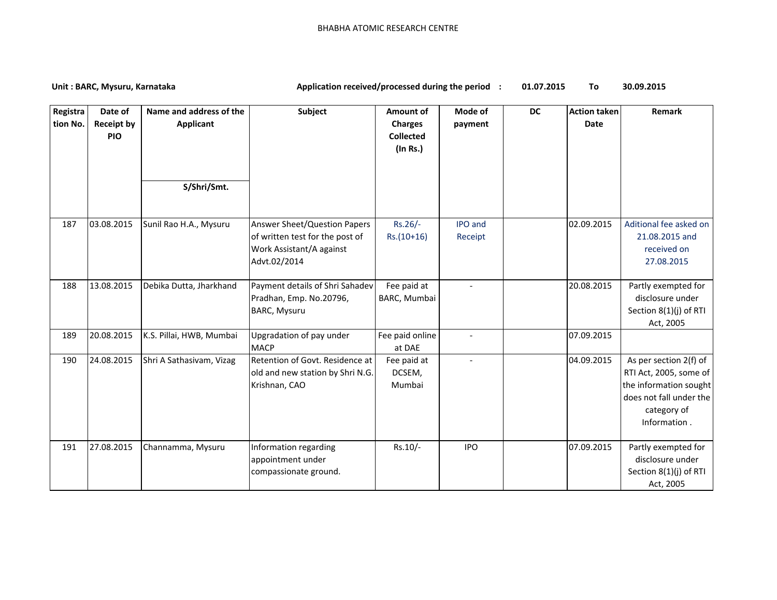## Unit : BARC, Mysuru, Karnataka **Application received/processed during the period** :

**01.07.2015 To 30.09.2015**

| Registra<br>tion No. | Date of<br><b>Receipt by</b><br><b>PIO</b> | Name and address of the<br><b>Applicant</b> | <b>Subject</b>                                                                                                     | Amount of<br><b>Charges</b><br><b>Collected</b><br>(In Rs.) | Mode of<br>payment        | <b>DC</b> | <b>Action taken</b><br><b>Date</b> | Remark                                                                                                                               |
|----------------------|--------------------------------------------|---------------------------------------------|--------------------------------------------------------------------------------------------------------------------|-------------------------------------------------------------|---------------------------|-----------|------------------------------------|--------------------------------------------------------------------------------------------------------------------------------------|
|                      |                                            | S/Shri/Smt.                                 |                                                                                                                    |                                                             |                           |           |                                    |                                                                                                                                      |
| 187                  | 03.08.2015                                 | Sunil Rao H.A., Mysuru                      | <b>Answer Sheet/Question Papers</b><br>of written test for the post of<br>Work Assistant/A against<br>Advt.02/2014 | Rs.26/-<br>$Rs.(10+16)$                                     | <b>IPO</b> and<br>Receipt |           | 02.09.2015                         | Aditional fee asked on<br>21.08.2015 and<br>received on<br>27.08.2015                                                                |
| 188                  | 13.08.2015                                 | Debika Dutta, Jharkhand                     | Payment details of Shri Sahadev<br>Pradhan, Emp. No.20796,<br>BARC, Mysuru                                         | Fee paid at<br>BARC, Mumbai                                 |                           |           | 20.08.2015                         | Partly exempted for<br>disclosure under<br>Section 8(1)(j) of RTI<br>Act, 2005                                                       |
| 189                  | 20.08.2015                                 | K.S. Pillai, HWB, Mumbai                    | Upgradation of pay under<br><b>MACP</b>                                                                            | Fee paid online<br>at DAE                                   | $\overline{a}$            |           | 07.09.2015                         |                                                                                                                                      |
| 190                  | 24.08.2015                                 | Shri A Sathasivam, Vizag                    | Retention of Govt. Residence at<br>old and new station by Shri N.G.<br>Krishnan, CAO                               | Fee paid at<br>DCSEM,<br>Mumbai                             | $\overline{a}$            |           | 04.09.2015                         | As per section 2(f) of<br>RTI Act, 2005, some of<br>the information sought<br>does not fall under the<br>category of<br>Information. |
| 191                  | 27.08.2015                                 | Channamma, Mysuru                           | Information regarding<br>appointment under<br>compassionate ground.                                                | Rs.10/-                                                     | <b>IPO</b>                |           | 07.09.2015                         | Partly exempted for<br>disclosure under<br>Section 8(1)(j) of RTI<br>Act, 2005                                                       |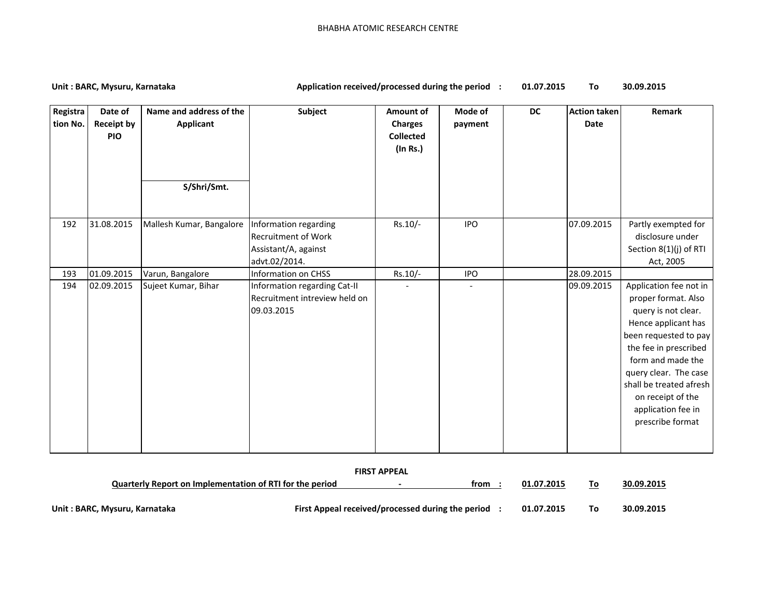## Unit : BARC, Mysuru, Karnataka **Application received/processed during the period** :

**01.07.2015 To 30.09.2015**

| Registra<br>tion No. | Date of<br><b>Receipt by</b><br><b>PIO</b> | Name and address of the<br>Applicant<br>S/Shri/Smt. | <b>Subject</b>                                                                               | Amount of<br><b>Charges</b><br><b>Collected</b><br>(In Rs.) | Mode of<br>payment | DC | <b>Action taken</b><br><b>Date</b> | Remark                                                                                                                                                                                                                                                                                |  |
|----------------------|--------------------------------------------|-----------------------------------------------------|----------------------------------------------------------------------------------------------|-------------------------------------------------------------|--------------------|----|------------------------------------|---------------------------------------------------------------------------------------------------------------------------------------------------------------------------------------------------------------------------------------------------------------------------------------|--|
| 192                  | 31.08.2015                                 | Mallesh Kumar, Bangalore                            | Information regarding<br><b>Recruitment of Work</b><br>Assistant/A, against<br>advt.02/2014. | Rs.10/-                                                     | <b>IPO</b>         |    | 07.09.2015                         | Partly exempted for<br>disclosure under<br>Section 8(1)(j) of RTI<br>Act, 2005                                                                                                                                                                                                        |  |
| 193                  | 01.09.2015                                 | Varun, Bangalore                                    | <b>Information on CHSS</b>                                                                   | Rs.10/-                                                     | <b>IPO</b>         |    | 28.09.2015                         |                                                                                                                                                                                                                                                                                       |  |
| 194                  | 02.09.2015                                 | Sujeet Kumar, Bihar                                 | Information regarding Cat-II<br>Recruitment intreview held on<br>09.03.2015                  |                                                             | $\blacksquare$     |    | 09.09.2015                         | Application fee not in<br>proper format. Also<br>query is not clear.<br>Hence applicant has<br>been requested to pay<br>the fee in prescribed<br>form and made the<br>query clear. The case<br>shall be treated afresh<br>on receipt of the<br>application fee in<br>prescribe format |  |
| <b>FIRST APPEAL</b>  |                                            |                                                     |                                                                                              |                                                             |                    |    |                                    |                                                                                                                                                                                                                                                                                       |  |

| <b>FIRST APPEAL</b>                                      |  |                                                   |      |            |    |            |  |  |  |
|----------------------------------------------------------|--|---------------------------------------------------|------|------------|----|------------|--|--|--|
| Quarterly Report on Implementation of RTI for the period |  | $\overline{\phantom{0}}$                          | trom | 01.07.2015 | To | 30.09.2015 |  |  |  |
| Unit: BARC, Mysuru, Karnataka                            |  | First Appeal received/processed during the period |      | 01.07.2015 | To | 30.09.2015 |  |  |  |